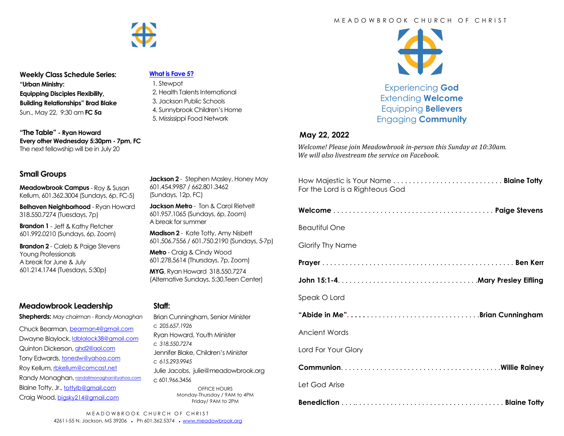

**Weekly Class Schedule Series: "Urban Ministry: Equipping Disciples Flexibility, Building Relationships" Brad Blake** Sun., May 22, 9:30 am **FC 5a**

**"The Table" - Ryan Howard Every other Wednesday 5:30pm - 7pm, FC** The next fellowship will be in July 20

## **Small Groups**

**Meadowbrook Campus** - Roy & Susan Kellum, 601.362.3004 (Sundays, 6p, FC-5)

**Belhaven Neighborhood** - Ryan Howard 318.550.7274 (Tuesdays, 7p)

**Brandon 1** - Jeff & Kathy Fletcher 601.992.0210 (Sundays, 6p, Zoom)

**Brandon 2** - Caleb & Paige Stevens Young Professionals A break for June & July 601.214.1744 (Tuesdays, 5:30p)

## **Meadowbrook Leadership**

**Shepherds:** *May chairman - Randy Monaghan*

Chuck Bearman, [bearman4@gmail.com](mailto:bearman4@gmail.com) Dwayne Blaylock, *dblalock38@gmail.com* Quinton Dickerson, [qhd2@aol.com](mailto:qhd2@aol.com) Tony Edwards, [tonedw@yahoo.com](mailto:tonedw@yahoo.com) Roy Kellum, [rbkellum@comcast.net](mailto:rbkellum@comcast.net) Randy Monaghan, [randallmonaghan@yahoo.com](mailto:randallmonaghan@yahoo.com) Blaine Totty, Jr., [tottylb@gmail.com](mailto:tottylb@gmail.com) Craig Wood, [bigsky214@gmail.com](mailto:bigsky214@gmail.com)

#### **[What is Fave 5?](https://meadowbrook.ccbchurch.com/group_detail.php?group_id=131)**

 1. Stewpot 2. Health Talents International 3. Jackson Public Schools 4, Sunnybrook Children's Home 5. Mississippi Food Network

601.454.9987 / 662.801.3462

**Metro** - Craig & Cindy Wood 601.278.5614 (Thursdays, 7p, Zoom) **MYG**, Ryan Howard 318.550.7274 (Alternative Sundays, 5:30,Teen Center)

(Sundays, 12p, FC)

A break for summer

**Staff:** 

c *205.657.1926*

c *318.550.7274*

c *615.293.9945*

c 601.966.3456

**Jackson 2** - Stephen Masley, Honey May

**Jackson Metro** - Ton & Carol Rietvelt 601.957.1065 (Sundays, 6p, Zoom)

**Madison 2** - Kate Totty, Amy Nisbett 601.506.7556 / 601.750.2190 (Sundays, 5-7p)

Brian Cunningham, Senior Minister

Jennifer Blake, Children's Minister

Julie Jacobs, julie@meadowbrook.org

OFFICE HOURS Monday-Thursday / 9AM to 4PM Friday/ 9AM to 2PM

Ryan Howard, Youth Minister

M F A D O W B R O O K C H U R C H O F C H R I S T



Experiencing **God** Extending **Welcome** Equipping **Believers** Engaging **Community**

#### **May 22, 2022**

*Welcome! Please join Meadowbrook in-person this Sunday at 10:30am. We will also livestream the service on Facebook.*

| How Majestic is Your Name  Blaine Totty<br>For the Lord is a Righteous God |
|----------------------------------------------------------------------------|
|                                                                            |
| <b>Beautiful One</b>                                                       |
| Glorify Thy Name                                                           |
|                                                                            |
|                                                                            |
| Speak O Lord                                                               |
| "Abide in Me"Brian Cunningham                                              |
| <b>Ancient Words</b>                                                       |
| Lord For Your Glory                                                        |
|                                                                            |
| Let God Arise                                                              |
|                                                                            |

MEADOWBROOK CHURCH OF CHRIST 4261 I-55 N, Jackson, MS 39206 • Ph 601.362.5374 • [www.meadowbrook.org](mailto:www.meadowbrook.org)